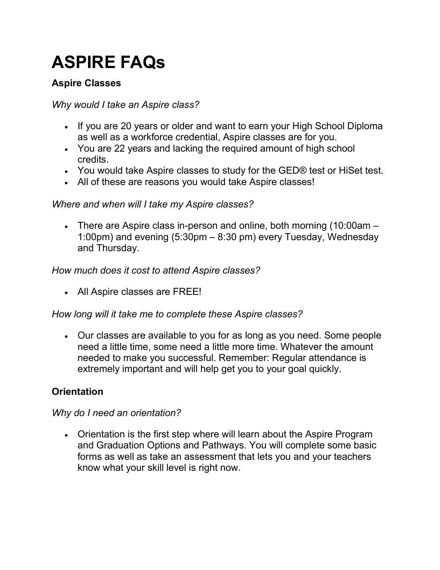# ASPIRE FAQs

# Aspire Classes

# Why would I take an Aspire class?

- If you are 20 years or older and want to earn your High School Diploma as well as a workforce credential, Aspire classes are for you.
- You are 22 years and lacking the required amount of high school credits.
- You would take Aspire classes to study for the GED® test or HiSet test.
- All of these are reasons you would take Aspire classes!

# Where and when will I take my Aspire classes?

 There are Aspire class in-person and online, both morning (10:00am – 1:00pm) and evening (5:30pm – 8:30 pm) every Tuesday, Wednesday and Thursday.

#### How much does it cost to attend Aspire classes?

All Aspire classes are FREE!

# How long will it take me to complete these Aspire classes?

 Our classes are available to you for as long as you need. Some people need a little time, some need a little more time. Whatever the amount needed to make you successful. Remember: Regular attendance is extremely important and will help get you to your goal quickly.

# **Orientation**

#### Why do I need an orientation?

 Orientation is the first step where will learn about the Aspire Program and Graduation Options and Pathways. You will complete some basic forms as well as take an assessment that lets you and your teachers know what your skill level is right now.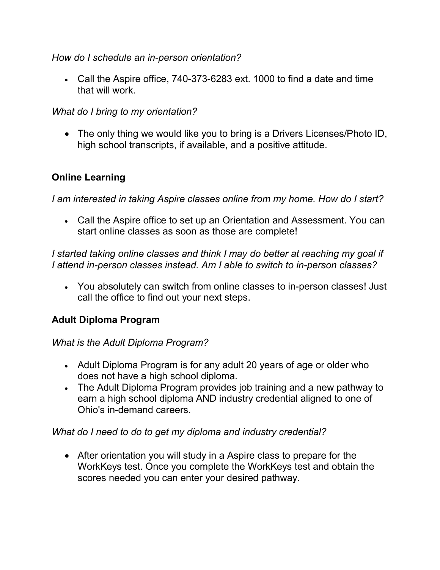How do I schedule an in-person orientation?

 Call the Aspire office, 740-373-6283 ext. 1000 to find a date and time that will work.

What do I bring to my orientation?

 The only thing we would like you to bring is a Drivers Licenses/Photo ID, high school transcripts, if available, and a positive attitude.

# Online Learning

I am interested in taking Aspire classes online from my home. How do I start?

 Call the Aspire office to set up an Orientation and Assessment. You can start online classes as soon as those are complete!

I started taking online classes and think I may do better at reaching my goal if I attend in-person classes instead. Am I able to switch to in-person classes?

 You absolutely can switch from online classes to in-person classes! Just call the office to find out your next steps.

# Adult Diploma Program

What is the Adult Diploma Program?

- Adult Diploma Program is for any adult 20 years of age or older who does not have a high school diploma.
- The Adult Diploma Program provides job training and a new pathway to earn a high school diploma AND industry credential aligned to one of Ohio's in-demand careers.

What do I need to do to get my diploma and industry credential?

 After orientation you will study in a Aspire class to prepare for the WorkKeys test. Once you complete the WorkKeys test and obtain the scores needed you can enter your desired pathway.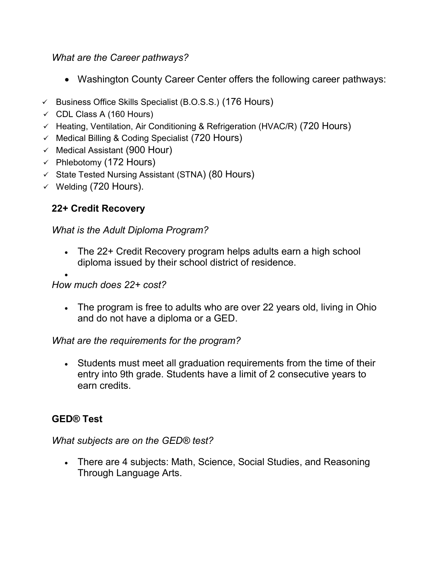#### What are the Career pathways?

- Washington County Career Center offers the following career pathways:
- $\checkmark$  Business Office Skills Specialist (B.O.S.S.) (176 Hours)
- $\checkmark$  CDL Class A (160 Hours)
- $\checkmark$  Heating, Ventilation, Air Conditioning & Refrigeration (HVAC/R) (720 Hours)
- $\checkmark$  Medical Billing & Coding Specialist (720 Hours)
- $\checkmark$  Medical Assistant (900 Hour)
- $\checkmark$  Phlebotomy (172 Hours)
- $\checkmark$  State Tested Nursing Assistant (STNA) (80 Hours)
- $\checkmark$  Welding (720 Hours).

# 22+ Credit Recovery

# What is the Adult Diploma Program?

 The 22+ Credit Recovery program helps adults earn a high school diploma issued by their school district of residence.

#### $\bullet$ How much does 22+ cost?

• The program is free to adults who are over 22 years old, living in Ohio and do not have a diploma or a GED.

# What are the requirements for the program?

 Students must meet all graduation requirements from the time of their entry into 9th grade. Students have a limit of 2 consecutive years to earn credits.

# GED® Test

# What subjects are on the GED® test?

 There are 4 subjects: Math, Science, Social Studies, and Reasoning Through Language Arts.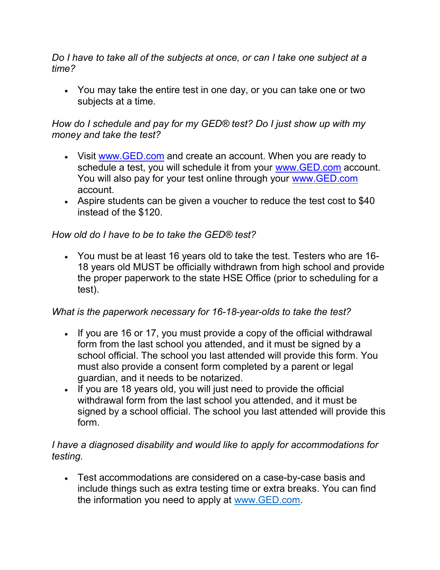Do I have to take all of the subjects at once, or can I take one subject at a time?

 You may take the entire test in one day, or you can take one or two subjects at a time.

#### How do I schedule and pay for my GED® test? Do I just show up with my money and take the test?

- Visit www.GED.com and create an account. When you are ready to schedule a test, you will schedule it from your www.GED.com account. You will also pay for your test online through your www.GED.com account.
- Aspire students can be given a voucher to reduce the test cost to \$40 instead of the \$120.

# How old do I have to be to take the GED® test?

 You must be at least 16 years old to take the test. Testers who are 16- 18 years old MUST be officially withdrawn from high school and provide the proper paperwork to the state HSE Office (prior to scheduling for a test).

# What is the paperwork necessary for 16-18-year-olds to take the test?

- If you are 16 or 17, you must provide a copy of the official withdrawal form from the last school you attended, and it must be signed by a school official. The school you last attended will provide this form. You must also provide a consent form completed by a parent or legal guardian, and it needs to be notarized.
- If you are 18 years old, you will just need to provide the official withdrawal form from the last school you attended, and it must be signed by a school official. The school you last attended will provide this form.

# I have a diagnosed disability and would like to apply for accommodations for testing.

 Test accommodations are considered on a case-by-case basis and include things such as extra testing time or extra breaks. You can find the information you need to apply at www.GED.com.